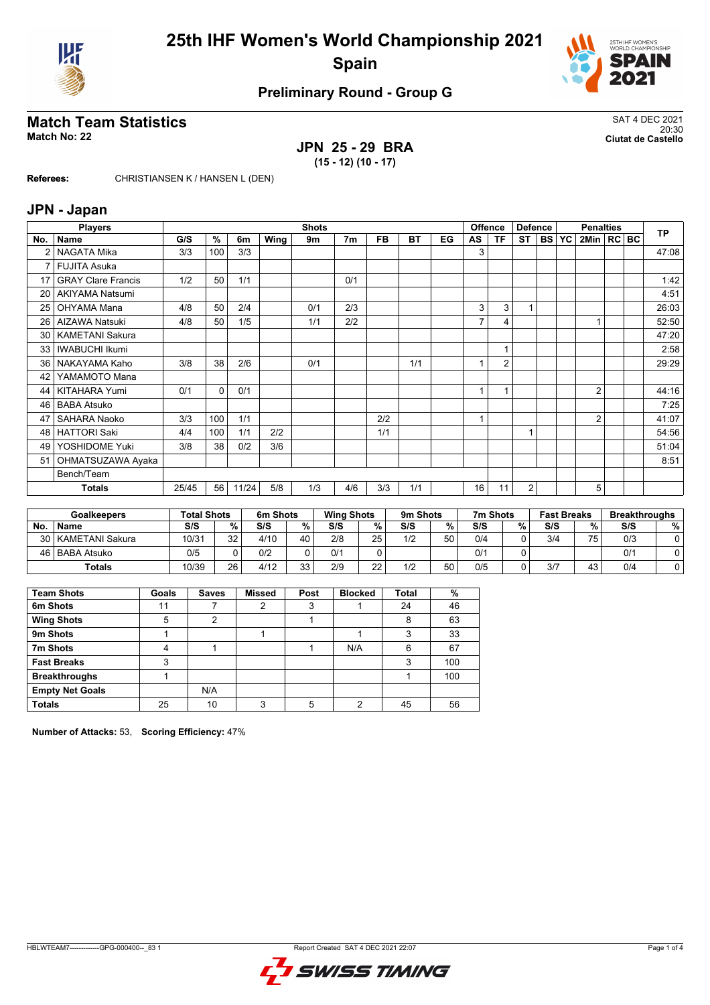



## **Preliminary Round - Group G**

### **Match Team Statistics** SAT 4 DEC 2021 20:30 **Match No: 22 Ciutat de Castello**

# **JPN 25 - 29 BRA**

**(15 - 12) (10 - 17)**

**Referees:** CHRISTIANSEN K / HANSEN L (DEN)

#### **JPN - Japan**

|                 | <b>Players</b>            | <b>Shots</b> |     |       |      |     |                | <b>Offence</b><br><b>Defence</b> |     |    | <b>Penalties</b> |                |           |        | <b>TP</b> |                |  |  |       |
|-----------------|---------------------------|--------------|-----|-------|------|-----|----------------|----------------------------------|-----|----|------------------|----------------|-----------|--------|-----------|----------------|--|--|-------|
| No.             | <b>Name</b>               | G/S          | %   | 6m    | Wing | 9m  | 7 <sub>m</sub> | FB.                              | BT  | EG | AS               | TF             | <b>ST</b> | l BS I | <b>YC</b> | 2Min   RC BC   |  |  |       |
|                 | NAGATA Mika               | 3/3          | 100 | 3/3   |      |     |                |                                  |     |    | 3                |                |           |        |           |                |  |  | 47:08 |
| $\overline{7}$  | <b>FUJITA Asuka</b>       |              |     |       |      |     |                |                                  |     |    |                  |                |           |        |           |                |  |  |       |
| 17              | <b>GRAY Clare Francis</b> | 1/2          | 50  | 1/1   |      |     | 0/1            |                                  |     |    |                  |                |           |        |           |                |  |  | 1:42  |
| 20              | <b>AKIYAMA Natsumi</b>    |              |     |       |      |     |                |                                  |     |    |                  |                |           |        |           |                |  |  | 4:51  |
| 25              | OHYAMA Mana               | 4/8          | 50  | 2/4   |      | 0/1 | 2/3            |                                  |     |    | 3                | 3              |           |        |           |                |  |  | 26:03 |
| 26              | AIZAWA Natsuki            | 4/8          | 50  | 1/5   |      | 1/1 | 2/2            |                                  |     |    |                  | 4              |           |        |           |                |  |  | 52:50 |
| 30 <sub>1</sub> | <b>KAMETANI Sakura</b>    |              |     |       |      |     |                |                                  |     |    |                  |                |           |        |           |                |  |  | 47:20 |
| 33              | <b>IWABUCHI Ikumi</b>     |              |     |       |      |     |                |                                  |     |    |                  | $\mathbf{1}$   |           |        |           |                |  |  | 2:58  |
| 36 <sup>1</sup> | NAKAYAMA Kaho             | 3/8          | 38  | 2/6   |      | 0/1 |                |                                  | 1/1 |    |                  | $\overline{2}$ |           |        |           |                |  |  | 29:29 |
| 42              | YAMAMOTO Mana             |              |     |       |      |     |                |                                  |     |    |                  |                |           |        |           |                |  |  |       |
| 44              | KITAHARA Yumi             | 0/1          | 0   | 0/1   |      |     |                |                                  |     |    |                  | $\overline{1}$ |           |        |           | $\overline{2}$ |  |  | 44:16 |
| 46              | <b>BABA Atsuko</b>        |              |     |       |      |     |                |                                  |     |    |                  |                |           |        |           |                |  |  | 7:25  |
| 47              | SAHARA Naoko              | 3/3          | 100 | 1/1   |      |     |                | 2/2                              |     |    |                  |                |           |        |           | 2              |  |  | 41:07 |
| 48              | <b>HATTORI Saki</b>       | 4/4          | 100 | 1/1   | 2/2  |     |                | 1/1                              |     |    |                  |                | 4         |        |           |                |  |  | 54:56 |
| 49              | YOSHIDOME Yuki            | 3/8          | 38  | 0/2   | 3/6  |     |                |                                  |     |    |                  |                |           |        |           |                |  |  | 51:04 |
| 51              | OHMATSUZAWA Ayaka         |              |     |       |      |     |                |                                  |     |    |                  |                |           |        |           |                |  |  | 8:51  |
|                 | Bench/Team                |              |     |       |      |     |                |                                  |     |    |                  |                |           |        |           |                |  |  |       |
|                 | <b>Totals</b>             | 25/45        | 56  | 11/24 | 5/8  | 1/3 | 4/6            | 3/3                              | 1/1 |    | 16               | 11             | 2         |        |           | 5              |  |  |       |

|     | <b>Goalkeepers</b>   | <b>Total Shots</b> |        | 6m Shots |           | <b>Wing Shots</b> |          | 9m Shots |    | 7m Shots |   | <b>Fast Breaks</b> |    | <b>Breakthroughs</b> |   |
|-----|----------------------|--------------------|--------|----------|-----------|-------------------|----------|----------|----|----------|---|--------------------|----|----------------------|---|
| No. | <b>Name</b>          | S/S                | $\%$ . | S/S      | %         | S/S               | %        | S/S      | %  | S/S      | % | S/S                | %  | S/S                  | % |
|     | 30   KAMETANI Sakura | 10/31              | 32     | 4/10     | 40        | 2/8               | 25       | 1/2      | 50 | 0/4      |   | 3/4                | 75 | 0/3                  |   |
|     | 46   BABA Atsuko     | 0/5                |        | 0/2      |           | 0/1               |          |          |    | 0/1      |   |                    |    | 0/1                  |   |
|     | Totals               | 10/39              | 26     | 4/12     | っっ<br>ں ر | 2/9               | つつ<br>__ | 1/2      | 50 | 0/5      |   | 3/7                | 43 | 0/4                  |   |

| <b>Team Shots</b>      | Goals | <b>Saves</b> | <b>Missed</b> | Post | <b>Blocked</b> | Total | %   |
|------------------------|-------|--------------|---------------|------|----------------|-------|-----|
| 6m Shots               | 11    |              | 2             | 3    |                | 24    | 46  |
| <b>Wing Shots</b>      | 5     | າ            |               |      |                | 8     | 63  |
| 9m Shots               |       |              |               |      |                | 3     | 33  |
| 7m Shots               | 4     |              |               |      | N/A            | 6     | 67  |
| <b>Fast Breaks</b>     | 3     |              |               |      |                | 3     | 100 |
| <b>Breakthroughs</b>   |       |              |               |      |                |       | 100 |
| <b>Empty Net Goals</b> |       | N/A          |               |      |                |       |     |
| <b>Totals</b>          | 25    | 10           | ົ             | 5    | ◠              | 45    | 56  |

**Number of Attacks:** 53, **Scoring Efficiency:** 47%

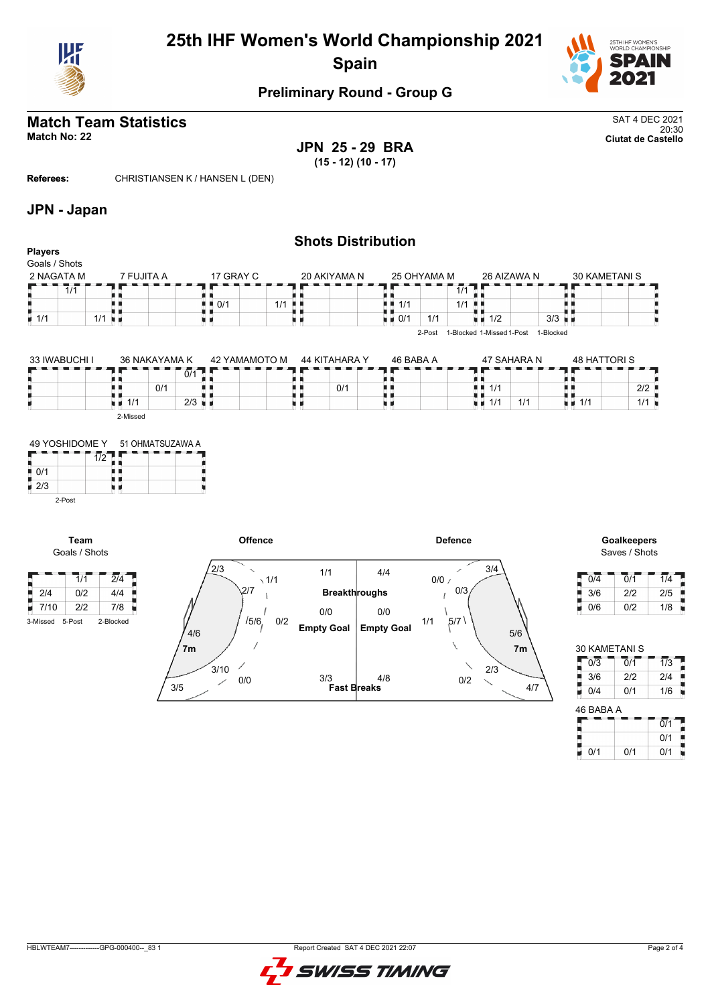



### **Preliminary Round - Group G**

# **Match Team Statistics** SAT 4 DEC 2021

20:30 **Match No: 22 Ciutat de Castello JPN 25 - 29 BRA (15 - 12) (10 - 17)**

**Referees:** CHRISTIANSEN K / HANSEN L (DEN)

### **JPN - Japan**

| <b>Players</b>     | <b>Shots Distribution</b> |  |                                   |       |              |               |             |       |                           |           |                      |               |  |
|--------------------|---------------------------|--|-----------------------------------|-------|--------------|---------------|-------------|-------|---------------------------|-----------|----------------------|---------------|--|
| Goals / Shots      |                           |  |                                   |       |              |               |             |       |                           |           |                      |               |  |
| 2 NAGATA M         | 7 FUJITA A                |  | 17 GRAY C                         |       | 20 AKIYAMA N |               | 25 OHYAMA M |       | 26 AIZAWA N               |           |                      | 30 KAMETANI S |  |
| 1/1                |                           |  |                                   |       |              |               |             | 1/1   |                           |           |                      |               |  |
|                    |                           |  | $\blacksquare$ $\blacksquare$ 0/1 | $1/1$ |              | 1/1<br>. .    |             | $1/1$ |                           |           |                      |               |  |
| $\blacksquare$ 1/1 | $1/1$ $\blacksquare$      |  |                                   |       |              | $\bullet$ 0/1 | 1/1         | u a   | 1/2                       |           | $3/3$ $\blacksquare$ |               |  |
|                    |                           |  |                                   |       |              |               | 2-Post      |       | 1-Blocked 1-Missed 1-Post | 1-Blocked |                      |               |  |

| 33 IWABUCHI I | 36 NAKAYAMA K |     |                      | 42 YAMAMOTO M | 44 KITAHARA Y | 46 BABA A |     |                 | 47 SAHARA N | 48 HATTORI S       |                      |
|---------------|---------------|-----|----------------------|---------------|---------------|-----------|-----|-----------------|-------------|--------------------|----------------------|
|               |               |     | 0/1                  |               |               |           |     |                 |             |                    |                      |
|               |               | 0/1 |                      |               | 0/1           |           | . . | 1/1             |             |                    | $2/2$ $\blacksquare$ |
|               | 1/1           |     | $2/3$ $\blacksquare$ |               |               |           | 1 H | 11 <sup>4</sup> | 1/1         | $\blacksquare$ 1/1 | 1/1                  |
|               | 2-Missed      |     |                      |               |               |           |     |                 |             |                    |                      |



**Team** Goals / Shots



Saves / Shots

| 0/4 | 0/1 | 1/4 |
|-----|-----|-----|
| 3/6 | 2/2 | 2/5 |
| 0/6 | 0/2 | 1/8 |

| <b>30 KAMETANI S</b> |     |     |
|----------------------|-----|-----|
| 0/3                  | 0/1 | 1/3 |
| 3/6                  | 2/2 | 2/4 |
| 0/4                  | 0/1 | 1/6 |

| 40 DADA A |     |             |
|-----------|-----|-------------|
|           |     | 0/1         |
|           |     | 0/1         |
| 0/1       | N/1 | $\Omega$ /1 |

HBLWTEAM7-------------GPG-000400--\_83 1 Report Created SAT 4 DEC 2021 22:07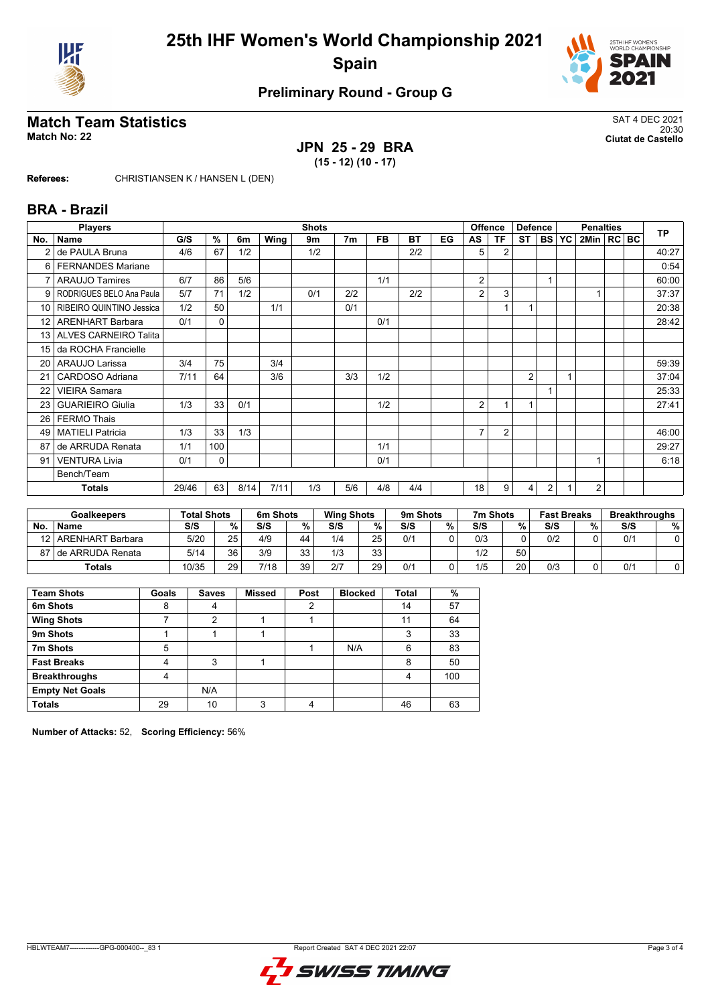



## **Preliminary Round - Group G**

### **Match Team Statistics** SAT 4 DEC 2021 20:30 **Match No: 22 Ciutat de Castello**

# **JPN 25 - 29 BRA**

**(15 - 12) (10 - 17)**

**Referees:** CHRISTIANSEN K / HANSEN L (DEN)

# **BRA - Brazil**

|                 | <b>Players</b>           |       | <b>Shots</b> |      |      |     |                | <b>Offence</b> |     |    | <b>Defence</b>  |                | <b>Penalties</b> | <b>TP</b>  |           |              |  |       |
|-----------------|--------------------------|-------|--------------|------|------|-----|----------------|----------------|-----|----|-----------------|----------------|------------------|------------|-----------|--------------|--|-------|
| No.             | <b>Name</b>              | G/S   | %            | 6m   | Wing | 9m  | 7 <sub>m</sub> | <b>FB</b>      | BT  | EG | AS              | <b>TF</b>      | <b>ST</b>        | <b>BSI</b> | <b>YC</b> | 2Min   RC BC |  |       |
| 2               | de PAULA Bruna           | 4/6   | 67           | 1/2  |      | 1/2 |                |                | 2/2 |    | 5               | $\overline{2}$ |                  |            |           |              |  | 40:27 |
| 6 I             | <b>FERNANDES Mariane</b> |       |              |      |      |     |                |                |     |    |                 |                |                  |            |           |              |  | 0:54  |
|                 | <b>ARAUJO Tamires</b>    | 6/7   | 86           | 5/6  |      |     |                | 1/1            |     |    | 2               |                |                  |            |           |              |  | 60:00 |
| 9               | RODRIGUES BELO Ana Paula | 5/7   | 71           | 1/2  |      | 0/1 | 2/2            |                | 2/2 |    | 2               | 3              |                  |            |           |              |  | 37:37 |
| 10 I            | RIBEIRO QUINTINO Jessica | 1/2   | 50           |      | 1/1  |     | 0/1            |                |     |    |                 |                |                  |            |           |              |  | 20:38 |
| 12              | <b>ARENHART Barbara</b>  | 0/1   | $\Omega$     |      |      |     |                | 0/1            |     |    |                 |                |                  |            |           |              |  | 28:42 |
| 13 <sup>1</sup> | ALVES CARNEIRO Talita    |       |              |      |      |     |                |                |     |    |                 |                |                  |            |           |              |  |       |
| 15              | da ROCHA Francielle      |       |              |      |      |     |                |                |     |    |                 |                |                  |            |           |              |  |       |
| 20 <sub>1</sub> | ARAUJO Larissa           | 3/4   | 75           |      | 3/4  |     |                |                |     |    |                 |                |                  |            |           |              |  | 59:39 |
| 21              | CARDOSO Adriana          | 7/11  | 64           |      | 3/6  |     | 3/3            | 1/2            |     |    |                 |                | $\overline{2}$   |            | 1         |              |  | 37:04 |
| 22              | <b>VIEIRA Samara</b>     |       |              |      |      |     |                |                |     |    |                 |                |                  |            |           |              |  | 25:33 |
| 23              | <b>GUARIEIRO Giulia</b>  | 1/3   | 33           | 0/1  |      |     |                | 1/2            |     |    | 2               |                | 1                |            |           |              |  | 27:41 |
| 26 <sup>1</sup> | <b>FERMO Thais</b>       |       |              |      |      |     |                |                |     |    |                 |                |                  |            |           |              |  |       |
| 49              | <b>MATIELI Patricia</b>  | 1/3   | 33           | 1/3  |      |     |                |                |     |    | $\overline{7}$  | $\overline{2}$ |                  |            |           |              |  | 46:00 |
| 87              | de ARRUDA Renata         | 1/1   | 100          |      |      |     |                | 1/1            |     |    |                 |                |                  |            |           |              |  | 29:27 |
| 91              | <b>VENTURA Livia</b>     | 0/1   | 0            |      |      |     |                | 0/1            |     |    |                 |                |                  |            |           |              |  | 6:18  |
|                 | Bench/Team               |       |              |      |      |     |                |                |     |    |                 |                |                  |            |           |              |  |       |
|                 | <b>Totals</b>            | 29/46 | 63           | 8/14 | 7/11 | 1/3 | 5/6            | 4/8            | 4/4 |    | 18 <sub>1</sub> | 9              | 4                | 2          |           | 2            |  |       |

|    | <b>Goalkeepers</b>    | <b>Total Shots</b> |    | 6m Shots |           | <b>Wing Shots</b> |    | 9m Shots |   | 7m Shots |    | <b>Fast Breaks</b> |   | <b>Breakthroughs</b> |   |
|----|-----------------------|--------------------|----|----------|-----------|-------------------|----|----------|---|----------|----|--------------------|---|----------------------|---|
| No | <b>Name</b>           | S/S                | %. | S/S      | %         | S/S               | %  | S/S      | % | S/S      | %  | S/S                | % | S/S                  | % |
|    | 12   ARENHART Barbara | 5/20               | 25 | 4/9      | 44        | 1/4               | 25 | 0/1      |   | 0/3      |    | 0/2                |   | 0/2                  |   |
|    | 87 I de ARRUDA Renata | 5/14               | 36 | 3/9      | วว<br>ن ت | 1/3               | 33 |          |   | 1/2      | 50 |                    |   |                      |   |
|    | <b>Totals</b>         | 10/35              | 29 | 7/18     | 39        | 2/7               | 29 | 0/1      |   | 1/5      | 20 | 0/3                |   | 0/1                  |   |

| <b>Team Shots</b>      | Goals | <b>Saves</b> | <b>Missed</b> | Post | <b>Blocked</b> | Total | %   |
|------------------------|-------|--------------|---------------|------|----------------|-------|-----|
| 6m Shots               | 8     | 4            |               | 2    |                | 14    | 57  |
| <b>Wing Shots</b>      |       | າ            |               |      |                | 11    | 64  |
| 9m Shots               |       |              |               |      |                | 3     | 33  |
| 7m Shots               | 5     |              |               |      | N/A            | 6     | 83  |
| <b>Fast Breaks</b>     |       | 3            |               |      |                | 8     | 50  |
| <b>Breakthroughs</b>   | 4     |              |               |      |                | 4     | 100 |
| <b>Empty Net Goals</b> |       | N/A          |               |      |                |       |     |
| <b>Totals</b>          | 29    | 10           | 3             | 4    |                | 46    | 63  |

**Number of Attacks:** 52, **Scoring Efficiency:** 56%